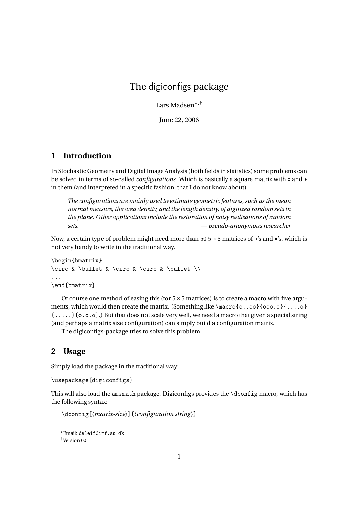# The digiconfigs package

Lars Madsen∗,†

June 22, 2006

#### **1 Introduction**

In Stochastic Geometry and Digital Image Analysis (both fields in statistics) some problems can be solved in terms of so-called *configurations*. Which is basically a square matrix with ◦ and • in them (and interpreted in a specific fashion, that I do not know about).

*The configurations are mainly used to estimate geometric features, such as the mean normal measure, the area density, and the length density, of digitized random sets in the plane. Other applications include the restoration of noisy realisations of random sets. — pseudo-anonymous researcher*

Now, a certain type of problem might need more than 50 5  $\times$  5 matrices of ∘'s and •'s, which is not very handy to write in the traditional way.

```
\begin{bmatrix}
\circ & \bullet & \circ & \circ & \bullet \\
...
\end{bmatrix}
```
Of course one method of easing this (for  $5 \times 5$  matrices) is to create a macro with five arguments, which would then create the matrix. (Something like \macro{o..oo}{ooo.o}{....o} {.....}{o.o.o}.) But that does not scale very well, we need a macro that given a special string (and perhaps a matrix size configuration) can simply build a configuration matrix.

The digiconfigs-package tries to solve this problem.

#### **2 Usage**

Simply load the package in the traditional way:

```
\usepackage{digiconfigs}
```
This will also load the amsmath package. Digiconfigs provides the \dconfig macro, which has the following syntax:

\dconfig[〈*matrix-size*〉]{〈*configuration string*〉}

<sup>∗</sup>Email: daleif@imf.au.dk

<sup>†</sup>Version 0.5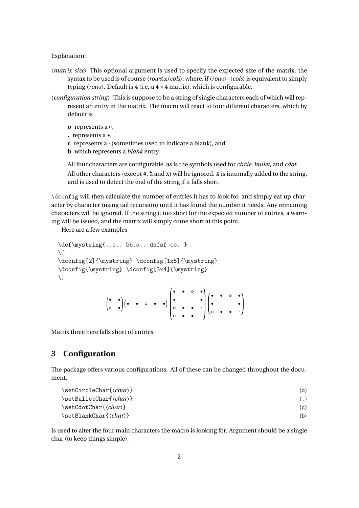Explanation:

- 〈*matrix-size*〉 This optional argument is used to specify the expected size of the matrix, the syntax to be used is of course 〈*rows*〉x〈*cols*〉, where, if〈*rows*〉=〈*cols*〉is equivalent to simply typing *(rows)*. Default is 4 (i.e. a  $4 \times 4$  matrix), which is configurable.
- 〈*configuration string*〉 This is suppose to be a string of single characters each of which will represent an entry in the matrix. The macro will react to four different characters, which by default is
	- **o** represents a ◦,
	- **.** represents a •,
	- **c** represents a · (sometimes used to indicate a blank), and
	- **b** which represents a *blank* entry.

All four characters are configurable, as is the symbols used for *circle*, *bullet*, and *cdot*.

All other characters (except  $\#$ ,  $\%$  and  $X$ ) will be ignored. X is internally added to the string, and is used to detect the end of the string if it falls short.

\dconfig will then calculate the number of entries it has to look for, and simply eat up character by character (using tail recursion) until it has found the number it needs. Any remaining characters will be ignored. If the string it too short for the expected number of entries, a warning will be issued, and the matrix will simply come short at this point.

Here are a few examples

```
\def\mystring{..o.. bb.o.. dsfsf co..}
\setminus \Gamma\dconfig[2]{\mystring} \dconfig[1x5]{\mystring}
\dconfig{\mystring} \dconfig[3x4]{\mystring}
\setminus]
                              \begin{pmatrix} \bullet & \bullet \\ \circ & \bullet \end{pmatrix} \begin{pmatrix} \bullet & \bullet & \circ & \bullet & \bullet \end{pmatrix}\sqrt{ }\overline{\phantom{a}}• • • •
                                                                        • •
                                                                                           Ι
                                                                                           \begin{array}{c} \hline \end{array}\sqrt{ }• • • •
```
Matrix three here falls short of entries.

#### **3 Configuration**

The package offers various configurations. All of these can be changed throughout the document.

◦ • • · ◦ • •

 $\mathsf{I}$ 

• • ◦ • • ·

 $\lambda$  $\overline{\phantom{a}}$ 

|                                                        | (o)               |
|--------------------------------------------------------|-------------------|
| $\setminus$ setBulletChar $\{ \langle char \rangle \}$ | $\left( .\right)$ |
|                                                        | (c)               |
| $\setminus$ setBlankChar $\{ \langle char \rangle \}$  | (b)               |

Is used to alter the four main characters the macro is looking for. Argument should be a single char (to keep things simple).